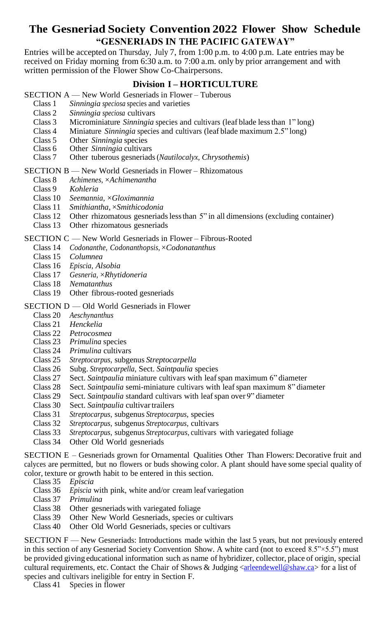# **The Gesneriad Society Convention 2022 Flower Show Schedule "GESNERIADS IN THE PACIFIC GATEWAY"**

Entries will be accepted on Thursday, July 7, from 1:00 p.m. to 4:00 p.m. Late entries may be received on Friday morning from 6:30 a.m. to 7:00 a.m. only by prior arrangement and with written permission of the Flower Show Co-Chairpersons.

# **Division I – HORTICULTURE**

- SECTION A New World Gesneriads in Flower Tuberous<br>Class 1 Sinningia speciosa species and varieties
	- Sinningia speciosa species and varieties
	- Class 2 *Sinningia speciosa* cultivars
	- Class 3 Microminiature *Sinningia* species and cultivars (leaf blade lessthan 1" long)
	- Class 4 Miniature *Sinningia* species and cultivars (leaf blade maximum 2.5" long)
	- Class 5 Other *Sinningia* species
	- Other *Sinningia* cultivars
	- Class 7 Other tuberous gesneriads(*Nautilocalyx, Chrysothemis*)

#### SECTION B — New World Gesneriads in Flower – Rhizomatous

- Class 8 *Achimenes,* ×*Achimenantha*
- Class 9 *Kohleria*
- Class 10 *Seemannia*, ×*Gloximannia*
- Class 11 *Smithiantha,* ×*Smithicodonia*
- Class 12 Other rhizomatous gesneriadslessthan 5" in all dimensions (excluding container)
- Class 13 Other rhizomatous gesneriads

#### SECTION C — New World Gesneriads in Flower – Fibrous-Rooted

- Class 14 *Codonanthe, Codonanthopsis,* ×*Codonatanthus*
- Class 15 *Columnea*
- Class 16 *Episcia*, *Alsobia*
- Class 17 *Gesneria,* ×*Rhytidoneria*
- Class 18 *Nematanthus*
- Class 19 Other fibrous-rooted gesneriads

## SECTION D — Old World Gesneriads in Flower

- Class 20 *Aeschynanthus*
- Class 21 *Henckelia*
- Class 22 *Petrocosmea*
- Class 23 *Primulina* species
- Class 24 *Primulina* cultivars
- Class 25 *Streptocarpus*, subgenus *Streptocarpella*
- Class 26 Subg. *Streptocarpella*, Sect. *Saintpaulia* species
- Class 27 Sect. *Saintpaulia* miniature cultivars with leafspan maximum 6" diameter
- Class 28 Sect. *Saintpaulia* semi-miniature cultivars with leafspan maximum 8" diameter
- Class 29 Sect. *Saintpaulia* standard cultivars with leafspan over 9" diameter
- Class 30 Sect. Saintpaulia cultivar trailers
- Class 31 *Streptocarpus*, subgenus *Streptocarpus*, species
- Class 32 *Streptocarpus*, subgenus *Streptocarpus*, cultivars
- Class 33 *Streptocarpus*, subgenus *Streptocarpus*, cultivars with variegated foliage
- Class 34 Other Old World gesneriads

SECTION E – Gesneriads grown for Ornamental Qualities Other Than Flowers: Decorative fruit and calyces are permitted, but no flowers or buds showing color. A plant should have some special quality of color, texture or growth habit to be entered in this section.

- Class 35 *Episcia*
- Class 36 *Episcia* with pink, white and/or cream leaf variegation
- Class 37 *Primulina*
- Class 38 Other gesneriads with variegated foliage
- Class 39 Other New World Gesneriads, species or cultivars
- Class 40 Other Old World Gesneriads, species or cultivars

SECTION F — New Gesneriads: Introductions made within the last 5 years, but not previously entered in this section of any Gesneriad Society Convention Show. A white card (not to exceed 8.5"×5.5") must be provided giving educational information such as name of hybridizer, collector, place of origin, special cultural requirements, etc. Contact the Chair of Shows & Judging  $\langle$  are lead ewell@shaw.ca for a list of species and cultivars ineligible for entry in Section F.

Class 41 Species in flower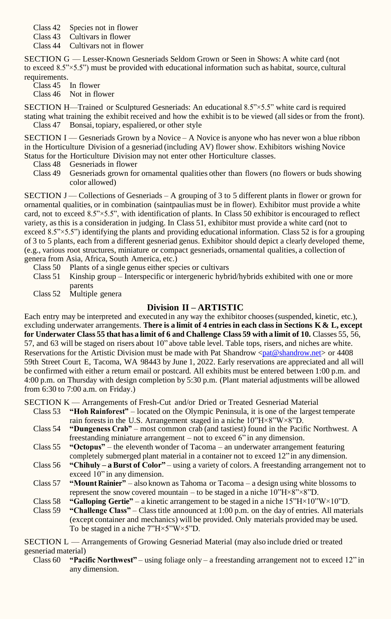- Class 42 Species not in flower
- Class 43 Cultivars in flower
- Class 44 Cultivars not in flower

SECTION G — Lesser-Known Gesneriads Seldom Grown or Seen in Shows: A white card (not to exceed 8.5"×5.5") must be provided with educational information such as habitat, source, cultural requirements.

Class 45 In flower Class 46 Not in flower

SECTION H—Trained or Sculptured Gesneriads: An educational 8.5"×5.5" white card is required stating what training the exhibit received and how the exhibit isto be viewed (all sides or from the front). Class 47 Bonsai, topiary, espaliered, or other style

SECTION I — Gesneriads Grown by a Novice – A Novice is anyone who has never won a blue ribbon in the Horticulture Division of a gesneriad (including AV) flower show. Exhibitors wishing Novice Status for the Horticulture Division may not enter other Horticulture classes.

- Class 48 Gesneriads in flower
- Class 49 Gesneriads grown for ornamental qualities other than flowers (no flowers or buds showing color allowed)

SECTION J — Collections of Gesneriads – A grouping of 3 to 5 different plants in flower or grown for ornamental qualities, or in combination (saintpaulias must be in flower). Exhibitor must provide a white card, not to exceed 8.5"×5.5", with identification of plants. In Class 50 exhibitor is encouraged to reflect variety, as this is a consideration in judging. In Class 51, exhibitor must provide a white card (not to exceed 8.5" $\times$ 5.5") identifying the plants and providing educational information. Class 52 is for a grouping of 3 to 5 plants, each from a different gesneriad genus. Exhibitor should depict a clearly developed theme, (e.g., various root structures, miniature or compact gesneriads, ornamental qualities, a collection of genera from Asia, Africa, South America, etc.)

- Class 50 Plants of a single genus either species or cultivars
- Class 51 Kinship group Interspecific or intergeneric hybrid/hybrids exhibited with one or more parents
- Class 52 Multiple genera

# **Division II – ARTISTIC**

Each entry may be interpreted and executed in any way the exhibitor chooses(suspended, kinetic, etc.), excluding underwater arrangements. **There is a limit of 4 entries in each class in Sections K & L, except**  for Underwater Class 55 that has a limit of 6 and Challenge Class 59 with a limit of 10. Classes 55, 56, 57, and 63 will be staged on risers about 10" above table level. Table tops, risers, and niches are white. Reservations for the Artistic Division must be made with Pat Shandrow  $\langle$ pat@shandrow.net $\rangle$  or 4408 59th Street Court E, Tacoma, WA 98443 by June 1, 2022. Early reservations are appreciated and all will be confirmed with either a return email or postcard. All exhibits must be entered between 1:00 p.m. and 4:00 p.m. on Thursday with design completion by 5:30 p.m. (Plant material adjustments will be allowed from 6:30 to 7:00 a.m. on Friday.)

SECTION K — Arrangements of Fresh-Cut and/or Dried or Treated Gesneriad Material

- Class 53 **"Hoh Rainforest"** located on the Olympic Peninsula, it is one of the largest temperate rain forests in the U.S. Arrangement staged in a niche  $10^{\prime\prime}$ H $\times$ 8"W $\times$ 8"D.
- Class 54 **"Dungeness Crab"** most common crab (and tastiest) found in the Pacific Northwest. A freestanding miniature arrangement – not to exceed 6" in any dimension.
- Class 55 **"Octopus"** the eleventh wonder of Tacoma an underwater arrangement featuring completely submerged plant material in a container not to exceed 12" in any dimension.
- Class 56 **"Chihuly – a Burst of Color"** using a variety of colors. A freestanding arrangement not to exceed 10" in any dimension.
- Class 57 **"Mount Rainier"** also known as Tahoma or Tacoma a design using white blossoms to represent the snow covered mountain – to be staged in a niche  $10^{\circ}H \times 8^{\circ} \times 8^{\circ}D$ .
- Class 58 **"Galloping Gertie"** a kinetic arrangement to be staged in a niche  $15^{\circ}H \times 10^{\circ}W \times 10^{\circ}D$ .
- Class 59 **"Challenge Class"** Classtitle announced at 1:00 p.m. on the day of entries. All materials (except container and mechanics) will be provided. Only materials provided may be used. To be staged in a niche 7"H×5"W×5"D.

SECTION L — Arrangements of Growing Gesneriad Material (may also include dried or treated gesneriad material)

Class 60 **"Pacific Northwest"** – using foliage only – a freestanding arrangement not to exceed 12" in any dimension.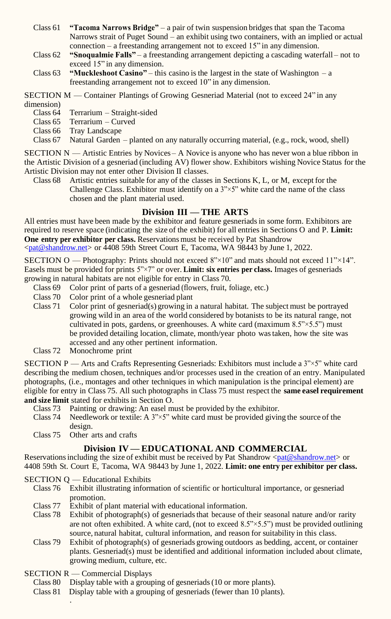- Class 61 **"Tacoma Narrows Bridge"** a pair of twin suspension bridges that span the Tacoma Narrows strait of Puget Sound – an exhibit using two containers, with an implied or actual connection – a freestanding arrangement not to exceed 15" in any dimension.
- Class 62 **"Snoqualmie Falls"** a freestanding arrangement depicting a cascading waterfall not to exceed 15" in any dimension.
- Class  $63$  **"Muckleshoot Casino"** this casino is the largest in the state of Washington a freestanding arrangement not to exceed 10" in any dimension.

SECTION M — Container Plantings of Growing Gesneriad Material (not to exceed 24" in any dimension)<br>Class 64

- Terrarium Straight-sided
- Class 65 Terrarium Curved
- Class 66 Tray Landscape
- Class 67 Natural Garden planted on any naturally occurring material, (e.g., rock, wood, shell)

SECTION N — Artistic Entries by Novices – A Novice is anyone who has never won a blue ribbon in the Artistic Division of a gesneriad (including AV) flower show. Exhibitors wishing Novice Status for the Artistic Division may not enter other Division II classes.

Class 68 Artistic entries suitable for any of the classes in Sections K, L, or M, except for the Challenge Class. Exhibitor must identify on a 3"×5" white card the name of the class chosen and the plant material used.

## **Division III — THE ARTS**

All entries must have been made by the exhibitor and feature gesneriadsin some form. Exhibitors are required to reserve space (indicating the size of the exhibit) for all entries in Sections O and P. **Limit: One entry per exhibitor per class.** Reservationsmust be received by Pat Shandrow [<pat@shandrow.net>](mailto:pat%40shandrow.net?subject=) or 4408 59th Street Court E, Tacoma, WA 98443 by June 1, 2022.

SECTION O — Photography: Prints should not exceed  $8" \times 10"$  and mats should not exceed  $11" \times 14"$ . Easels must be provided for prints 5"×7" or over. **Limit: six entries per class.** Images of gesneriads growing in natural habitats are not eligible for entry in Class 70.

- Class 69 Color print of parts of a gesneriad (flowers, fruit, foliage, etc.)
- Class 70 Color print of a whole gesneriad plant
- Class 71 Color print of gesneriad(s) growing in a natural habitat. The subject must be portrayed growing wild in an area of the world considered by botanists to be its natural range, not cultivated in pots, gardens, or greenhouses. A white card (maximum 8.5"×5.5") must be provided detailing location, climate, month/year photo wastaken, how the site was accessed and any other pertinent information.
- Class 72 Monochrome print

SECTION P — Arts and Crafts Representing Gesneriads: Exhibitors must include a 3"×5" white card describing the medium chosen, techniques and/or processes used in the creation of an entry. Manipulated photographs, (i.e., montages and other techniques in which manipulation isthe principal element) are eligible for entry in Class 75. All such photographs in Class 75 must respect the **same easel requirement and size limit** stated for exhibits in Section O.

- Class 73 Painting or drawing: An easel must be provided by the exhibitor.<br>Class 74 Needlework or textile: A  $3" \times 5"$  white card must be provided giving
- Needlework or textile: A  $3" \times 5"$  white card must be provided giving the source of the design.
- Class 75 Other arts and crafts

# **Division IV — EDUCATIONAL AND COMMERCIAL**

Reservations including the size of exhibit must be received by Pat Shandrow  $\langle$ pat@shandrow.net $\rangle$  or 4408 59th St. Court E, Tacoma, WA 98443 by June 1, 2022. **Limit: one entry per exhibitor per class.**

SECTION Q — Educational Exhibits

- Class 76 Exhibit illustrating information of scientific or horticultural importance, or gesneriad promotion.
- Class 77 Exhibit of plant material with educational information.
- Class 78 Exhibit of photograph(s) of gesneriads that because of their seasonal nature and/or rarity are not often exhibited. A white card, (not to exceed  $8.5" \times 5.5"$ ) must be provided outlining source, natural habitat, cultural information, and reason for suitability in this class.
- Class 79 Exhibit of photograph(s) of gesneriads growing outdoors as bedding, accent, or container plants. Gesneriad(s) must be identified and additional information included about climate, growing medium, culture, etc.
- SECTION R Commercial Displays

.

- Class 80 Display table with a grouping of gesneriads(10 or more plants).
- Class 81 Display table with a grouping of gesneriads (fewer than 10 plants).